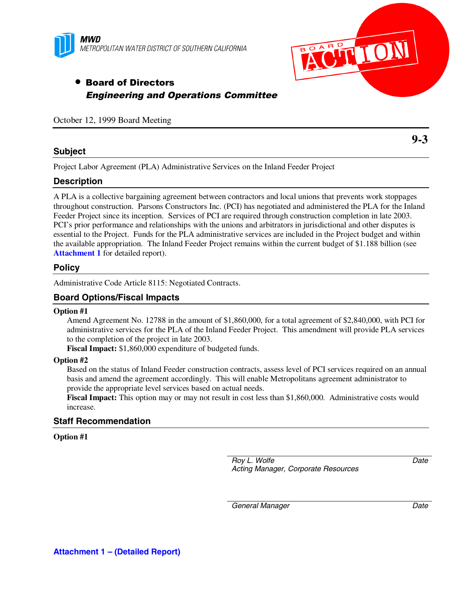



# • Board of Directors Engineering and Operations Committee

October 12, 1999 Board Meeting

### **Subject**

**9-3**

Project Labor Agreement (PLA) Administrative Services on the Inland Feeder Project

### **Description**

A PLA is a collective bargaining agreement between contractors and local unions that prevents work stoppages throughout construction. Parsons Constructors Inc. (PCI) has negotiated and administered the PLA for the Inland Feeder Project since its inception. Services of PCI are required through construction completion in late 2003. PCI's prior performance and relationships with the unions and arbitrators in jurisdictional and other disputes is essential to the Project. Funds for the PLA administrative services are included in the Project budget and within the available appropriation. The Inland Feeder Project remains within the current budget of \$1.188 billion (see **[Attachment 1](#page-1-0)** for detailed report).

### **Policy**

Administrative Code Article 8115: Negotiated Contracts.

### **Board Options/Fiscal Impacts**

#### **Option #1**

Amend Agreement No. 12788 in the amount of \$1,860,000, for a total agreement of \$2,840,000, with PCI for administrative services for the PLA of the Inland Feeder Project. This amendment will provide PLA services to the completion of the project in late 2003.

**Fiscal Impact:** \$1,860,000 expenditure of budgeted funds.

#### **Option #2**

Based on the status of Inland Feeder construction contracts, assess level of PCI services required on an annual basis and amend the agreement accordingly. This will enable Metropolitans agreement administrator to provide the appropriate level services based on actual needs.

**Fiscal Impact:** This option may or may not result in cost less than \$1,860,000. Administrative costs would increase.

### **Staff Recommendation**

#### **Option #1**

*Roy L. Wolfe Acting Manager, Corporate Resources* *Date*

*General Manager Date*